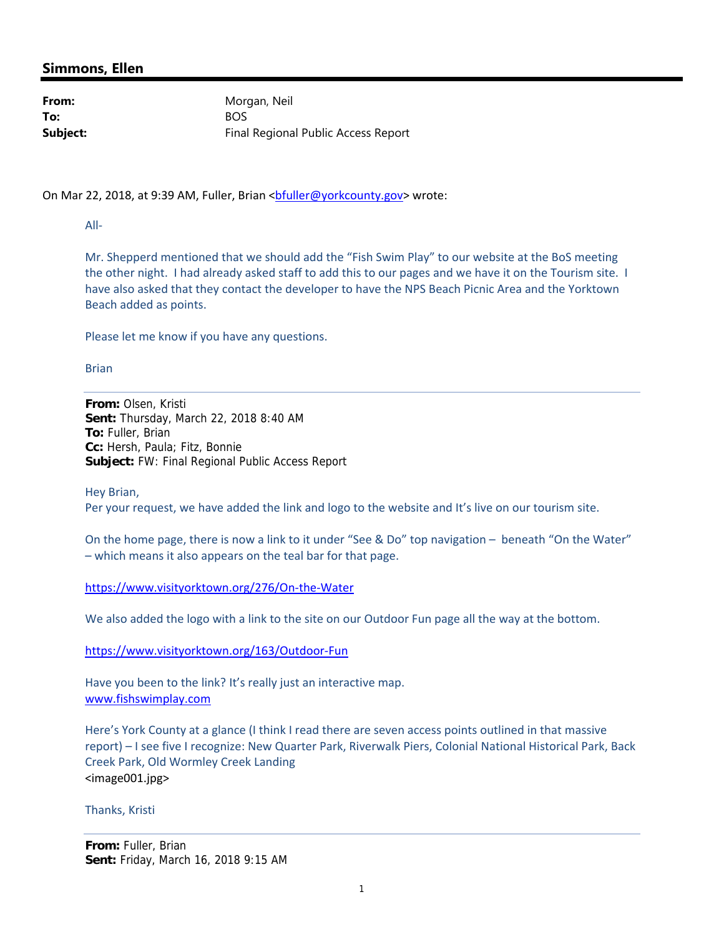## **Simmons, Ellen**

**To:** BOS

From: Morgan, Neil **Subject:** Final Regional Public Access Report

On Mar 22, 2018, at 9:39 AM, Fuller, Brian <br/>bfuller@yorkcounty.gov> wrote:

All‐

Mr. Shepperd mentioned that we should add the "Fish Swim Play" to our website at the BoS meeting the other night. I had already asked staff to add this to our pages and we have it on the Tourism site. I have also asked that they contact the developer to have the NPS Beach Picnic Area and the Yorktown Beach added as points.

Please let me know if you have any questions.

Brian

**From:** Olsen, Kristi **Sent:** Thursday, March 22, 2018 8:40 AM **To:** Fuller, Brian **Cc:** Hersh, Paula; Fitz, Bonnie **Subject:** FW: Final Regional Public Access Report

Hey Brian,

Per your request, we have added the link and logo to the website and It's live on our tourism site.

On the home page, there is now a link to it under "See & Do" top navigation – beneath "On the Water" – which means it also appears on the teal bar for that page.

https://www.visityorktown.org/276/On‐the‐Water

We also added the logo with a link to the site on our Outdoor Fun page all the way at the bottom.

https://www.visityorktown.org/163/Outdoor‐Fun

Have you been to the link? It's really just an interactive map. www.fishswimplay.com

Here's York County at a glance (I think I read there are seven access points outlined in that massive report) – I see five I recognize: New Quarter Park, Riverwalk Piers, Colonial National Historical Park, Back Creek Park, Old Wormley Creek Landing <image001.jpg>

Thanks, Kristi

**From:** Fuller, Brian **Sent:** Friday, March 16, 2018 9:15 AM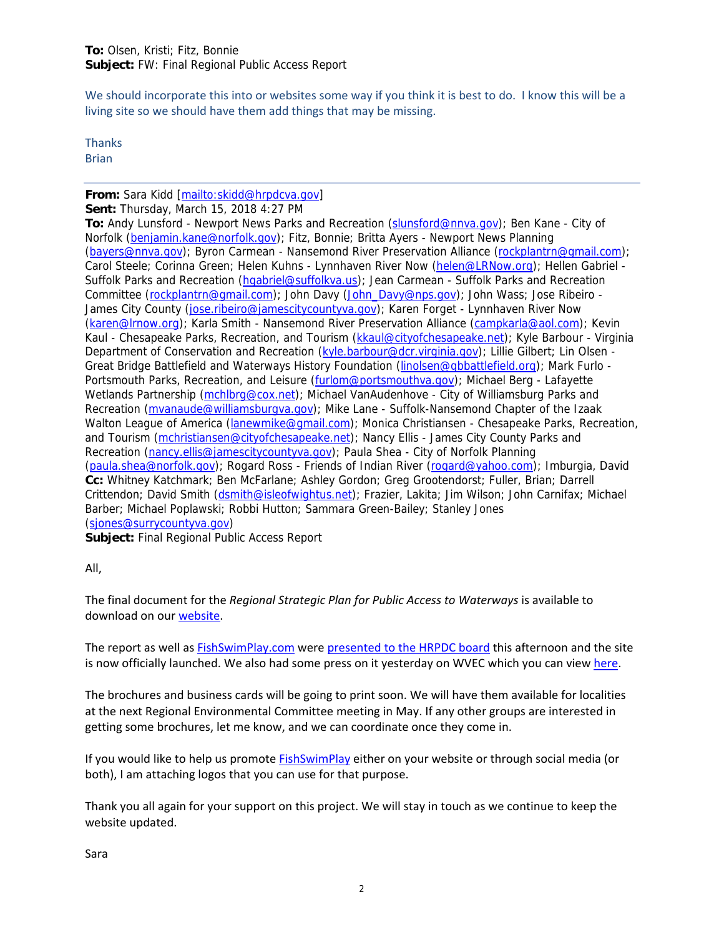We should incorporate this into or websites some way if you think it is best to do. I know this will be a living site so we should have them add things that may be missing.

**Thanks** Brian

## **From:** Sara Kidd [mailto:skidd@hrpdcva.gov] **Sent:** Thursday, March 15, 2018 4:27 PM

**To:** Andy Lunsford - Newport News Parks and Recreation (slunsford@nnva.gov); Ben Kane - City of Norfolk (benjamin.kane@norfolk.gov); Fitz, Bonnie; Britta Ayers - Newport News Planning (bayers@nnva.gov); Byron Carmean - Nansemond River Preservation Alliance (rockplantrn@gmail.com); Carol Steele; Corinna Green; Helen Kuhns - Lynnhaven River Now (helen@LRNow.org); Hellen Gabriel -Suffolk Parks and Recreation (hgabriel@suffolkva.us); Jean Carmean - Suffolk Parks and Recreation Committee (rockplantrn@gmail.com); John Davy (John\_Davy@nps.gov); John Wass; Jose Ribeiro - James City County (jose.ribeiro@jamescitycountyva.gov); Karen Forget - Lynnhaven River Now (karen@lrnow.org); Karla Smith - Nansemond River Preservation Alliance (campkarla@aol.com); Kevin Kaul - Chesapeake Parks, Recreation, and Tourism (kkaul@cityofchesapeake.net); Kyle Barbour - Virginia Department of Conservation and Recreation (kyle.barbour@dcr.virginia.gov); Lillie Gilbert; Lin Olsen -Great Bridge Battlefield and Waterways History Foundation (linolsen@gbbattlefield.org); Mark Furlo - Portsmouth Parks, Recreation, and Leisure (furlom@portsmouthva.gov); Michael Berg - Lafayette Wetlands Partnership (mchlbrg@cox.net); Michael VanAudenhove - City of Williamsburg Parks and Recreation (mvanaude@williamsburgva.gov); Mike Lane - Suffolk-Nansemond Chapter of the Izaak Walton League of America (lanewmike@gmail.com); Monica Christiansen - Chesapeake Parks, Recreation, and Tourism (mchristiansen@cityofchesapeake.net); Nancy Ellis - James City County Parks and Recreation (nancy.ellis@jamescitycountyva.gov); Paula Shea - City of Norfolk Planning (paula.shea@norfolk.gov); Rogard Ross - Friends of Indian River (rogard@yahoo.com); Imburgia, David **Cc:** Whitney Katchmark; Ben McFarlane; Ashley Gordon; Greg Grootendorst; Fuller, Brian; Darrell Crittendon; David Smith (dsmith@isleofwightus.net); Frazier, Lakita; Jim Wilson; John Carnifax; Michael Barber; Michael Poplawski; Robbi Hutton; Sammara Green-Bailey; Stanley Jones (sjones@surrycountyva.gov)

**Subject:** Final Regional Public Access Report

All,

The final document for the *Regional Strategic Plan for Public Access to Waterways* is available to download on our website.

The report as well as FishSwimPlay.com were presented to the HRPDC board this afternoon and the site is now officially launched. We also had some press on it yesterday on WVEC which you can view here.

The brochures and business cards will be going to print soon. We will have them available for localities at the next Regional Environmental Committee meeting in May. If any other groups are interested in getting some brochures, let me know, and we can coordinate once they come in.

If you would like to help us promote FishSwimPlay either on your website or through social media (or both), I am attaching logos that you can use for that purpose.

Thank you all again for your support on this project. We will stay in touch as we continue to keep the website updated.